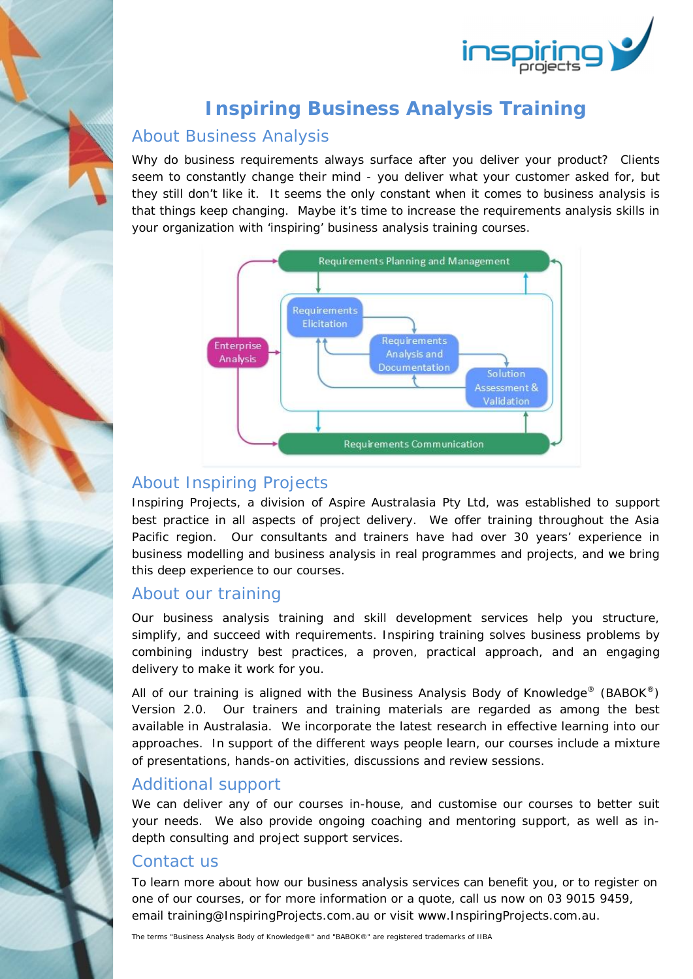

### **Inspiring Business Analysis Training**

#### About Business Analysis

Why do business requirements always surface after you deliver your product? Clients seem to constantly change their mind - you deliver what your customer asked for, but they still don't like it. It seems the only constant when it comes to business analysis is that things keep changing. Maybe it's time to increase the requirements analysis skills in your organization with 'inspiring' business analysis training courses.



### About Inspiring Projects

Inspiring Projects, a division of Aspire Australasia Pty Ltd, was established to support best practice in all aspects of project delivery. We offer training throughout the Asia Pacific region. Our consultants and trainers have had over 30 years' experience in business modelling and business analysis in real programmes and projects, and we bring this deep experience to our courses.

#### About our training

Our business analysis training and skill development services help you structure, simplify, and succeed with requirements. Inspiring training solves business problems by combining industry best practices, a proven, practical approach, and an engaging delivery to make it work for you.

All of our training is aligned with the *Business Analysis Body of Knowledge*® (*BABOK*®) Version 2.0. Our trainers and training materials are regarded as among the best available in Australasia. We incorporate the latest research in effective learning into our approaches. In support of the different ways people learn, our courses include a mixture of presentations, hands-on activities, discussions and review sessions.

#### Additional support

We can deliver any of our courses in-house, and customise our courses to better suit your needs. We also provide ongoing coaching and mentoring support, as well as indepth consulting and project support services.

#### Contact us

To learn more about how our business analysis services can benefit you, or to register on one of our courses, or for more information or a quote, call us now on 03 9015 9459, email training@InspiringProjects.com.au or visit www.InspiringProjects.com.au.

The terms "Business Analysis Body of Knowledge®" and "BABOK®" are registered trademarks of IIBA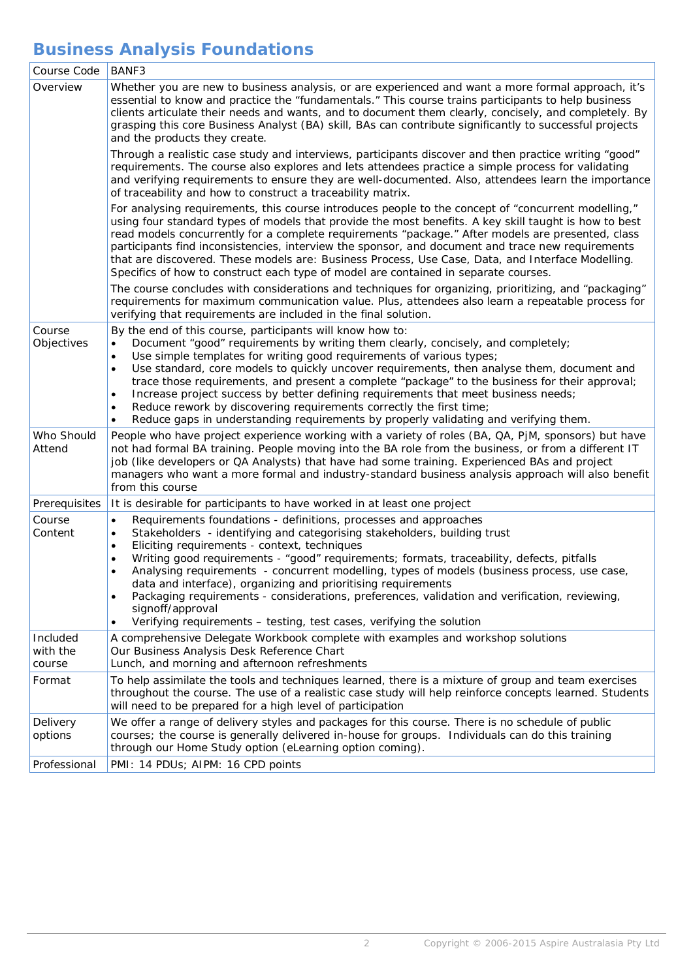# **Business Analysis Foundations**

|  | Course Code                    | BANF3                                                                                                                                                                                                                                                                                                                                                                                                                                                                                                                                                                                                                                                                                                                                             |
|--|--------------------------------|---------------------------------------------------------------------------------------------------------------------------------------------------------------------------------------------------------------------------------------------------------------------------------------------------------------------------------------------------------------------------------------------------------------------------------------------------------------------------------------------------------------------------------------------------------------------------------------------------------------------------------------------------------------------------------------------------------------------------------------------------|
|  | Overview                       | Whether you are new to business analysis, or are experienced and want a more formal approach, it's<br>essential to know and practice the "fundamentals." This course trains participants to help business<br>clients articulate their needs and wants, and to document them clearly, concisely, and completely. By<br>grasping this core Business Analyst (BA) skill, BAs can contribute significantly to successful projects<br>and the products they create.                                                                                                                                                                                                                                                                                    |
|  |                                | Through a realistic case study and interviews, participants discover and then practice writing "good"<br>requirements. The course also explores and lets attendees practice a simple process for validating<br>and verifying requirements to ensure they are well-documented. Also, attendees learn the importance<br>of traceability and how to construct a traceability matrix.                                                                                                                                                                                                                                                                                                                                                                 |
|  |                                | For analysing requirements, this course introduces people to the concept of "concurrent modelling,"<br>using four standard types of models that provide the most benefits. A key skill taught is how to best<br>read models concurrently for a complete requirements "package." After models are presented, class<br>participants find inconsistencies, interview the sponsor, and document and trace new requirements<br>that are discovered. These models are: Business Process, Use Case, Data, and Interface Modelling.<br>Specifics of how to construct each type of model are contained in separate courses.                                                                                                                                |
|  |                                | The course concludes with considerations and techniques for organizing, prioritizing, and "packaging"<br>requirements for maximum communication value. Plus, attendees also learn a repeatable process for<br>verifying that requirements are included in the final solution.                                                                                                                                                                                                                                                                                                                                                                                                                                                                     |
|  | Course<br>Objectives           | By the end of this course, participants will know how to:<br>Document "good" requirements by writing them clearly, concisely, and completely;<br>$\bullet$<br>Use simple templates for writing good requirements of various types;<br>$\bullet$<br>Use standard, core models to quickly uncover requirements, then analyse them, document and<br>$\bullet$<br>trace those requirements, and present a complete "package" to the business for their approval;<br>Increase project success by better defining requirements that meet business needs;<br>$\bullet$<br>Reduce rework by discovering requirements correctly the first time;<br>$\bullet$<br>Reduce gaps in understanding requirements by properly validating and verifying them.       |
|  | Who Should<br>Attend           | People who have project experience working with a variety of roles (BA, QA, PjM, sponsors) but have<br>not had formal BA training. People moving into the BA role from the business, or from a different IT<br>job (like developers or QA Analysts) that have had some training. Experienced BAs and project<br>managers who want a more formal and industry-standard business analysis approach will also benefit<br>from this course                                                                                                                                                                                                                                                                                                            |
|  | Prerequisites                  | It is desirable for participants to have worked in at least one project                                                                                                                                                                                                                                                                                                                                                                                                                                                                                                                                                                                                                                                                           |
|  | Course<br>Content              | Requirements foundations - definitions, processes and approaches<br>$\bullet$<br>Stakeholders - identifying and categorising stakeholders, building trust<br>$\bullet$<br>Eliciting requirements - context, techniques<br>$\bullet$<br>Writing good requirements - "good" requirements; formats, traceability, defects, pitfalls<br>$\bullet$<br>Analysing requirements - concurrent modelling, types of models (business process, use case,<br>$\bullet$<br>data and interface), organizing and prioritising requirements<br>Packaging requirements - considerations, preferences, validation and verification, reviewing,<br>$\bullet$<br>signoff/approval<br>Verifying requirements - testing, test cases, verifying the solution<br>$\bullet$ |
|  | Included<br>with the<br>course | A comprehensive Delegate Workbook complete with examples and workshop solutions<br>Our Business Analysis Desk Reference Chart<br>Lunch, and morning and afternoon refreshments                                                                                                                                                                                                                                                                                                                                                                                                                                                                                                                                                                    |
|  | Format                         | To help assimilate the tools and techniques learned, there is a mixture of group and team exercises<br>throughout the course. The use of a realistic case study will help reinforce concepts learned. Students<br>will need to be prepared for a high level of participation                                                                                                                                                                                                                                                                                                                                                                                                                                                                      |
|  | Delivery<br>options            | We offer a range of delivery styles and packages for this course. There is no schedule of public<br>courses; the course is generally delivered in-house for groups. Individuals can do this training<br>through our Home Study option (eLearning option coming).                                                                                                                                                                                                                                                                                                                                                                                                                                                                                  |
|  | Professional                   | PMI: 14 PDUs; AIPM: 16 CPD points                                                                                                                                                                                                                                                                                                                                                                                                                                                                                                                                                                                                                                                                                                                 |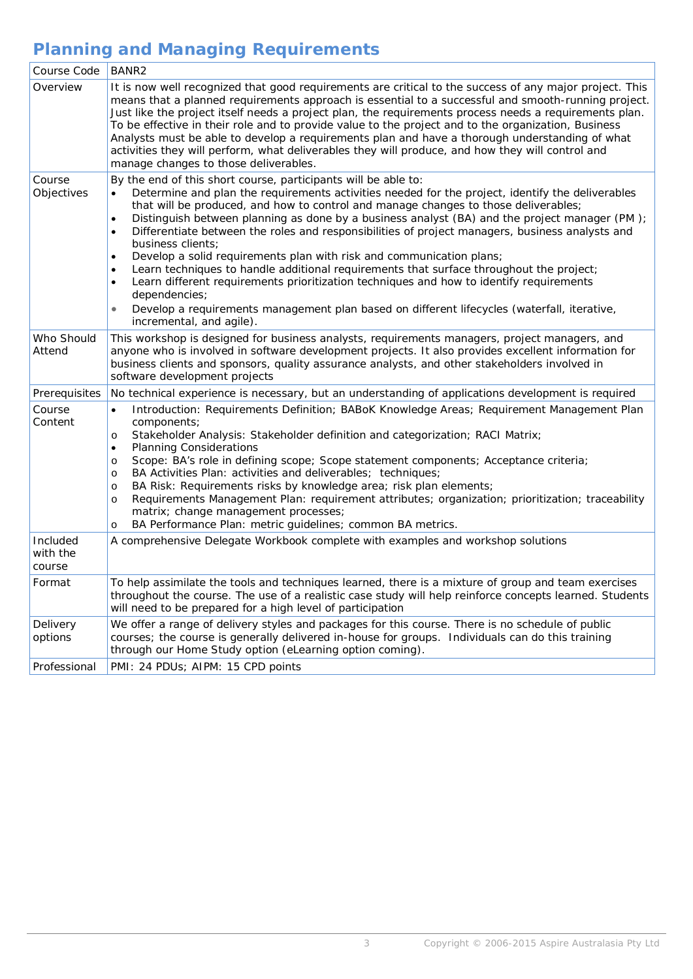# **Planning and Managing Requirements**

| Course Code                    | <b>BANR2</b>                                                                                                                                                                                                                                                                                                                                                                                                                                                                                                                                                                                                                                                                                                                                                                                                                                                                                                                                                               |
|--------------------------------|----------------------------------------------------------------------------------------------------------------------------------------------------------------------------------------------------------------------------------------------------------------------------------------------------------------------------------------------------------------------------------------------------------------------------------------------------------------------------------------------------------------------------------------------------------------------------------------------------------------------------------------------------------------------------------------------------------------------------------------------------------------------------------------------------------------------------------------------------------------------------------------------------------------------------------------------------------------------------|
| Overview                       | It is now well recognized that good requirements are critical to the success of any major project. This<br>means that a planned requirements approach is essential to a successful and smooth-running project.<br>Just like the project itself needs a project plan, the requirements process needs a requirements plan.<br>To be effective in their role and to provide value to the project and to the organization, Business<br>Analysts must be able to develop a requirements plan and have a thorough understanding of what<br>activities they will perform, what deliverables they will produce, and how they will control and<br>manage changes to those deliverables.                                                                                                                                                                                                                                                                                             |
| Course<br>Objectives           | By the end of this short course, participants will be able to:<br>Determine and plan the requirements activities needed for the project, identify the deliverables<br>that will be produced, and how to control and manage changes to those deliverables;<br>Distinguish between planning as done by a business analyst (BA) and the project manager (PM);<br>$\bullet$<br>Differentiate between the roles and responsibilities of project managers, business analysts and<br>$\bullet$<br>business clients;<br>Develop a solid requirements plan with risk and communication plans;<br>$\bullet$<br>Learn techniques to handle additional requirements that surface throughout the project;<br>$\bullet$<br>Learn different requirements prioritization techniques and how to identify requirements<br>$\bullet$<br>dependencies;<br>Develop a requirements management plan based on different lifecycles (waterfall, iterative,<br>$\bullet$<br>incremental, and agile). |
| Who Should<br>Attend           | This workshop is designed for business analysts, requirements managers, project managers, and<br>anyone who is involved in software development projects. It also provides excellent information for<br>business clients and sponsors, quality assurance analysts, and other stakeholders involved in<br>software development projects                                                                                                                                                                                                                                                                                                                                                                                                                                                                                                                                                                                                                                     |
| Prerequisites                  | No technical experience is necessary, but an understanding of applications development is required                                                                                                                                                                                                                                                                                                                                                                                                                                                                                                                                                                                                                                                                                                                                                                                                                                                                         |
| Course<br>Content              | Introduction: Requirements Definition; BABoK Knowledge Areas; Requirement Management Plan<br>$\bullet$<br>components;<br>Stakeholder Analysis: Stakeholder definition and categorization; RACI Matrix;<br>$\circ$<br><b>Planning Considerations</b><br>$\bullet$<br>Scope: BA's role in defining scope; Scope statement components; Acceptance criteria;<br>$\circ$<br>BA Activities Plan: activities and deliverables; techniques;<br>$\circ$<br>BA Risk: Requirements risks by knowledge area; risk plan elements;<br>$\circ$<br>Requirements Management Plan: requirement attributes; organization; prioritization; traceability<br>$\circ$<br>matrix; change management processes;<br>BA Performance Plan: metric guidelines; common BA metrics.<br>O                                                                                                                                                                                                                  |
| Included<br>with the<br>course | A comprehensive Delegate Workbook complete with examples and workshop solutions                                                                                                                                                                                                                                                                                                                                                                                                                                                                                                                                                                                                                                                                                                                                                                                                                                                                                            |
| Format                         | To help assimilate the tools and techniques learned, there is a mixture of group and team exercises<br>throughout the course. The use of a realistic case study will help reinforce concepts learned. Students<br>will need to be prepared for a high level of participation                                                                                                                                                                                                                                                                                                                                                                                                                                                                                                                                                                                                                                                                                               |
| Delivery<br>options            | We offer a range of delivery styles and packages for this course. There is no schedule of public<br>courses; the course is generally delivered in-house for groups. Individuals can do this training<br>through our Home Study option (eLearning option coming).                                                                                                                                                                                                                                                                                                                                                                                                                                                                                                                                                                                                                                                                                                           |
| Professional                   | PMI: 24 PDUs; AIPM: 15 CPD points                                                                                                                                                                                                                                                                                                                                                                                                                                                                                                                                                                                                                                                                                                                                                                                                                                                                                                                                          |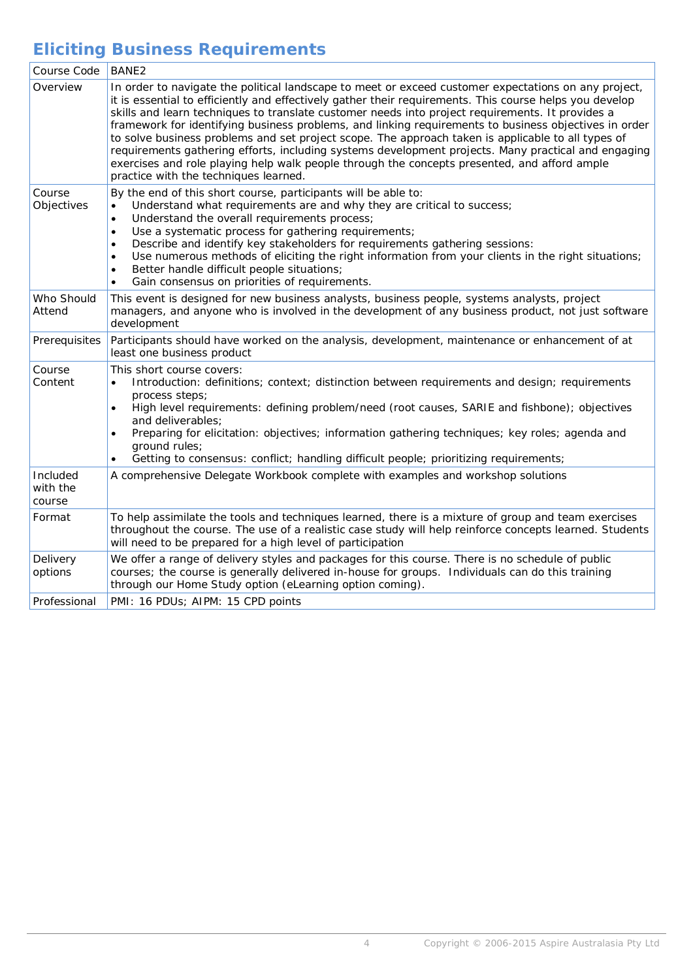# **Eliciting Business Requirements**

| Course Code                    | BANE <sub>2</sub>                                                                                                                                                                                                                                                                                                                                                                                                                                                                                                                                                                                                                                                                                                                                                                  |
|--------------------------------|------------------------------------------------------------------------------------------------------------------------------------------------------------------------------------------------------------------------------------------------------------------------------------------------------------------------------------------------------------------------------------------------------------------------------------------------------------------------------------------------------------------------------------------------------------------------------------------------------------------------------------------------------------------------------------------------------------------------------------------------------------------------------------|
| Overview                       | In order to navigate the political landscape to meet or exceed customer expectations on any project,<br>it is essential to efficiently and effectively gather their requirements. This course helps you develop<br>skills and learn techniques to translate customer needs into project requirements. It provides a<br>framework for identifying business problems, and linking requirements to business objectives in order<br>to solve business problems and set project scope. The approach taken is applicable to all types of<br>requirements gathering efforts, including systems development projects. Many practical and engaging<br>exercises and role playing help walk people through the concepts presented, and afford ample<br>practice with the techniques learned. |
| Course<br>Objectives           | By the end of this short course, participants will be able to:<br>Understand what requirements are and why they are critical to success;<br>$\bullet$<br>Understand the overall requirements process;<br>$\bullet$<br>Use a systematic process for gathering requirements;<br>$\bullet$<br>Describe and identify key stakeholders for requirements gathering sessions:<br>$\bullet$<br>Use numerous methods of eliciting the right information from your clients in the right situations;<br>$\bullet$<br>Better handle difficult people situations;<br>$\bullet$<br>Gain consensus on priorities of requirements.<br>$\bullet$                                                                                                                                                    |
| Who Should<br>Attend           | This event is designed for new business analysts, business people, systems analysts, project<br>managers, and anyone who is involved in the development of any business product, not just software<br>development                                                                                                                                                                                                                                                                                                                                                                                                                                                                                                                                                                  |
| Prerequisites                  | Participants should have worked on the analysis, development, maintenance or enhancement of at<br>least one business product                                                                                                                                                                                                                                                                                                                                                                                                                                                                                                                                                                                                                                                       |
| Course<br>Content              | This short course covers:<br>Introduction: definitions; context; distinction between requirements and design; requirements<br>process steps;<br>High level requirements: defining problem/need (root causes, SARIE and fishbone); objectives<br>$\bullet$<br>and deliverables:<br>Preparing for elicitation: objectives; information gathering techniques; key roles; agenda and<br>$\bullet$<br>ground rules;<br>Getting to consensus: conflict; handling difficult people; prioritizing requirements;<br>$\bullet$                                                                                                                                                                                                                                                               |
| Included<br>with the<br>course | A comprehensive Delegate Workbook complete with examples and workshop solutions                                                                                                                                                                                                                                                                                                                                                                                                                                                                                                                                                                                                                                                                                                    |
| Format                         | To help assimilate the tools and techniques learned, there is a mixture of group and team exercises<br>throughout the course. The use of a realistic case study will help reinforce concepts learned. Students<br>will need to be prepared for a high level of participation                                                                                                                                                                                                                                                                                                                                                                                                                                                                                                       |
| Delivery<br>options            | We offer a range of delivery styles and packages for this course. There is no schedule of public<br>courses; the course is generally delivered in-house for groups. Individuals can do this training<br>through our Home Study option (eLearning option coming).                                                                                                                                                                                                                                                                                                                                                                                                                                                                                                                   |
| Professional                   | PMI: 16 PDUs; AIPM: 15 CPD points                                                                                                                                                                                                                                                                                                                                                                                                                                                                                                                                                                                                                                                                                                                                                  |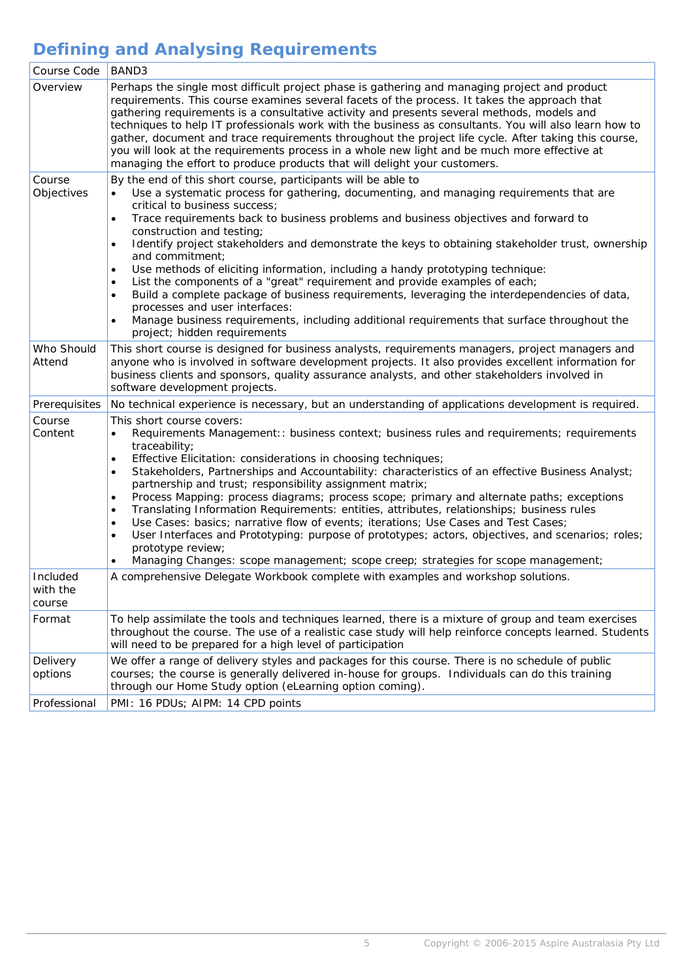# **Defining and Analysing Requirements**

| Course Code                    | BAND3                                                                                                                                                                                                                                                                                                                                                                                                                                                                                                                                                                                                                                                                                                                                                                                                                                                                                                                                                      |
|--------------------------------|------------------------------------------------------------------------------------------------------------------------------------------------------------------------------------------------------------------------------------------------------------------------------------------------------------------------------------------------------------------------------------------------------------------------------------------------------------------------------------------------------------------------------------------------------------------------------------------------------------------------------------------------------------------------------------------------------------------------------------------------------------------------------------------------------------------------------------------------------------------------------------------------------------------------------------------------------------|
| Overview                       | Perhaps the single most difficult project phase is gathering and managing project and product<br>requirements. This course examines several facets of the process. It takes the approach that<br>gathering requirements is a consultative activity and presents several methods, models and<br>techniques to help IT professionals work with the business as consultants. You will also learn how to<br>gather, document and trace requirements throughout the project life cycle. After taking this course,<br>you will look at the requirements process in a whole new light and be much more effective at<br>managing the effort to produce products that will delight your customers.                                                                                                                                                                                                                                                                  |
| Course<br>Objectives           | By the end of this short course, participants will be able to<br>Use a systematic process for gathering, documenting, and managing requirements that are<br>$\bullet$<br>critical to business success;<br>Trace requirements back to business problems and business objectives and forward to<br>$\bullet$<br>construction and testing;<br>Identify project stakeholders and demonstrate the keys to obtaining stakeholder trust, ownership<br>$\bullet$<br>and commitment;<br>Use methods of eliciting information, including a handy prototyping technique:<br>$\bullet$<br>List the components of a "great" requirement and provide examples of each;<br>٠<br>Build a complete package of business requirements, leveraging the interdependencies of data,<br>$\bullet$<br>processes and user interfaces:<br>Manage business requirements, including additional requirements that surface throughout the<br>$\bullet$<br>project; hidden requirements   |
| Who Should<br>Attend           | This short course is designed for business analysts, requirements managers, project managers and<br>anyone who is involved in software development projects. It also provides excellent information for<br>business clients and sponsors, quality assurance analysts, and other stakeholders involved in<br>software development projects.                                                                                                                                                                                                                                                                                                                                                                                                                                                                                                                                                                                                                 |
| Prerequisites                  | No technical experience is necessary, but an understanding of applications development is required.                                                                                                                                                                                                                                                                                                                                                                                                                                                                                                                                                                                                                                                                                                                                                                                                                                                        |
| Course<br>Content              | This short course covers:<br>Requirements Management:: business context; business rules and requirements; requirements<br>$\bullet$<br>traceability;<br>Effective Elicitation: considerations in choosing techniques;<br>$\bullet$<br>Stakeholders, Partnerships and Accountability: characteristics of an effective Business Analyst;<br>$\bullet$<br>partnership and trust; responsibility assignment matrix;<br>Process Mapping: process diagrams; process scope; primary and alternate paths; exceptions<br>$\bullet$<br>Translating Information Requirements: entities, attributes, relationships; business rules<br>$\bullet$<br>Use Cases: basics; narrative flow of events; iterations; Use Cases and Test Cases;<br>$\bullet$<br>User Interfaces and Prototyping: purpose of prototypes; actors, objectives, and scenarios; roles;<br>٠<br>prototype review;<br>Managing Changes: scope management; scope creep; strategies for scope management; |
| Included<br>with the<br>course | A comprehensive Delegate Workbook complete with examples and workshop solutions.                                                                                                                                                                                                                                                                                                                                                                                                                                                                                                                                                                                                                                                                                                                                                                                                                                                                           |
| Format                         | To help assimilate the tools and techniques learned, there is a mixture of group and team exercises<br>throughout the course. The use of a realistic case study will help reinforce concepts learned. Students<br>will need to be prepared for a high level of participation                                                                                                                                                                                                                                                                                                                                                                                                                                                                                                                                                                                                                                                                               |
| Delivery<br>options            | We offer a range of delivery styles and packages for this course. There is no schedule of public<br>courses; the course is generally delivered in-house for groups. Individuals can do this training<br>through our Home Study option (eLearning option coming).                                                                                                                                                                                                                                                                                                                                                                                                                                                                                                                                                                                                                                                                                           |
| Professional                   | PMI: 16 PDUs; AIPM: 14 CPD points                                                                                                                                                                                                                                                                                                                                                                                                                                                                                                                                                                                                                                                                                                                                                                                                                                                                                                                          |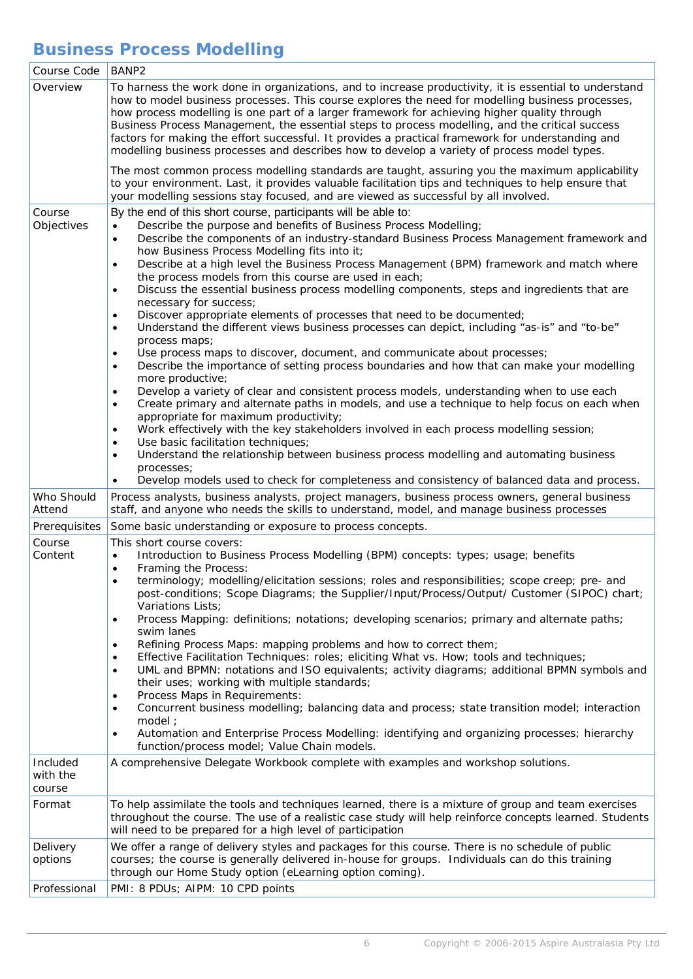## **Business Process Modelling**

| Course Code          | BANP <sub>2</sub>                                                                                                                                                                                                                                                                                                                                                                                                                                                                                                                                                                                                                                                                                                                                                                                                                                                                                                                                                                                                                                                                                                                                                                                                                                                                                                                                                                                                                                                                                                                                                                             |
|----------------------|-----------------------------------------------------------------------------------------------------------------------------------------------------------------------------------------------------------------------------------------------------------------------------------------------------------------------------------------------------------------------------------------------------------------------------------------------------------------------------------------------------------------------------------------------------------------------------------------------------------------------------------------------------------------------------------------------------------------------------------------------------------------------------------------------------------------------------------------------------------------------------------------------------------------------------------------------------------------------------------------------------------------------------------------------------------------------------------------------------------------------------------------------------------------------------------------------------------------------------------------------------------------------------------------------------------------------------------------------------------------------------------------------------------------------------------------------------------------------------------------------------------------------------------------------------------------------------------------------|
| Overview             | To harness the work done in organizations, and to increase productivity, it is essential to understand<br>how to model business processes. This course explores the need for modelling business processes,<br>how process modelling is one part of a larger framework for achieving higher quality through<br>Business Process Management, the essential steps to process modelling, and the critical success<br>factors for making the effort successful. It provides a practical framework for understanding and<br>modelling business processes and describes how to develop a variety of process model types.                                                                                                                                                                                                                                                                                                                                                                                                                                                                                                                                                                                                                                                                                                                                                                                                                                                                                                                                                                             |
|                      | The most common process modelling standards are taught, assuring you the maximum applicability<br>to your environment. Last, it provides valuable facilitation tips and techniques to help ensure that<br>your modelling sessions stay focused, and are viewed as successful by all involved.                                                                                                                                                                                                                                                                                                                                                                                                                                                                                                                                                                                                                                                                                                                                                                                                                                                                                                                                                                                                                                                                                                                                                                                                                                                                                                 |
| Course<br>Objectives | By the end of this short course, participants will be able to:<br>Describe the purpose and benefits of Business Process Modelling;<br>$\bullet$<br>Describe the components of an industry-standard Business Process Management framework and<br>$\bullet$<br>how Business Process Modelling fits into it;<br>Describe at a high level the Business Process Management (BPM) framework and match where<br>$\bullet$<br>the process models from this course are used in each;<br>Discuss the essential business process modelling components, steps and ingredients that are<br>$\bullet$<br>necessary for success;<br>Discover appropriate elements of processes that need to be documented;<br>$\bullet$<br>Understand the different views business processes can depict, including "as-is" and "to-be"<br>$\bullet$<br>process maps;<br>Use process maps to discover, document, and communicate about processes;<br>$\bullet$<br>Describe the importance of setting process boundaries and how that can make your modelling<br>$\bullet$<br>more productive;<br>Develop a variety of clear and consistent process models, understanding when to use each<br>$\bullet$<br>Create primary and alternate paths in models, and use a technique to help focus on each when<br>$\bullet$<br>appropriate for maximum productivity;<br>Work effectively with the key stakeholders involved in each process modelling session;<br>$\bullet$<br>Use basic facilitation techniques;<br>$\bullet$<br>Understand the relationship between business process modelling and automating business<br>$\bullet$ |
|                      | processes;<br>Develop models used to check for completeness and consistency of balanced data and process.                                                                                                                                                                                                                                                                                                                                                                                                                                                                                                                                                                                                                                                                                                                                                                                                                                                                                                                                                                                                                                                                                                                                                                                                                                                                                                                                                                                                                                                                                     |
| Who Should<br>Attend | Process analysts, business analysts, project managers, business process owners, general business<br>staff, and anyone who needs the skills to understand, model, and manage business processes                                                                                                                                                                                                                                                                                                                                                                                                                                                                                                                                                                                                                                                                                                                                                                                                                                                                                                                                                                                                                                                                                                                                                                                                                                                                                                                                                                                                |
| Prerequisites        | Some basic understanding or exposure to process concepts.                                                                                                                                                                                                                                                                                                                                                                                                                                                                                                                                                                                                                                                                                                                                                                                                                                                                                                                                                                                                                                                                                                                                                                                                                                                                                                                                                                                                                                                                                                                                     |
| Course<br>Content    | This short course covers:<br>Introduction to Business Process Modelling (BPM) concepts: types; usage; benefits<br>Framing the Process:<br>$\bullet$<br>terminology; modelling/elicitation sessions; roles and responsibilities; scope creep; pre- and<br>post-conditions; Scope Diagrams; the Supplier/Input/Process/Output/ Customer (SIPOC) chart;<br>Variations Lists;<br>Process Mapping: definitions; notations; developing scenarios; primary and alternate paths;<br>$\bullet$<br>swim lanes<br>Refining Process Maps: mapping problems and how to correct them;<br>Effective Facilitation Techniques: roles; eliciting What vs. How; tools and techniques;<br>$\bullet$<br>UML and BPMN: notations and ISO equivalents; activity diagrams; additional BPMN symbols and<br>$\bullet$<br>their uses; working with multiple standards;<br>Process Maps in Requirements:<br>٠<br>Concurrent business modelling; balancing data and process; state transition model; interaction<br>$\bullet$<br>model;<br>Automation and Enterprise Process Modelling: identifying and organizing processes; hierarchy<br>$\bullet$<br>function/process model; Value Chain models.                                                                                                                                                                                                                                                                                                                                                                                                                        |
| Included<br>with the | A comprehensive Delegate Workbook complete with examples and workshop solutions.                                                                                                                                                                                                                                                                                                                                                                                                                                                                                                                                                                                                                                                                                                                                                                                                                                                                                                                                                                                                                                                                                                                                                                                                                                                                                                                                                                                                                                                                                                              |
| course<br>Format     | To help assimilate the tools and techniques learned, there is a mixture of group and team exercises<br>throughout the course. The use of a realistic case study will help reinforce concepts learned. Students<br>will need to be prepared for a high level of participation                                                                                                                                                                                                                                                                                                                                                                                                                                                                                                                                                                                                                                                                                                                                                                                                                                                                                                                                                                                                                                                                                                                                                                                                                                                                                                                  |
| Delivery<br>options  | We offer a range of delivery styles and packages for this course. There is no schedule of public<br>courses; the course is generally delivered in-house for groups. Individuals can do this training<br>through our Home Study option (eLearning option coming).                                                                                                                                                                                                                                                                                                                                                                                                                                                                                                                                                                                                                                                                                                                                                                                                                                                                                                                                                                                                                                                                                                                                                                                                                                                                                                                              |
| Professional         | PMI: 8 PDUs; AIPM: 10 CPD points                                                                                                                                                                                                                                                                                                                                                                                                                                                                                                                                                                                                                                                                                                                                                                                                                                                                                                                                                                                                                                                                                                                                                                                                                                                                                                                                                                                                                                                                                                                                                              |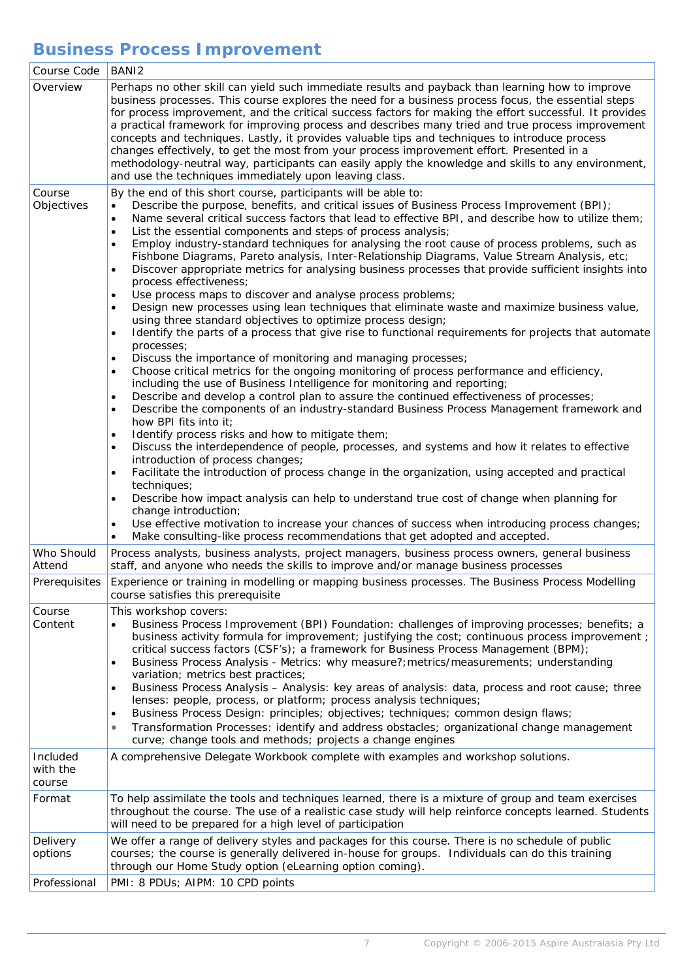## **Business Process Improvement**

| Course Code                    | BANI <sub>2</sub>                                                                                                                                                                                                                                                                                                                                                                                                                                                                                                                                                                                                                                                                                                                                                                                                                                                                                                                                                                                                                                                                                                                                                                                                                                                                                                                                                                                                                                                                                                                                                                                                                                                                                                                                                                                                                                                                                                                                                                                                                                                                                                                                                                                                                                                                                                                             |
|--------------------------------|-----------------------------------------------------------------------------------------------------------------------------------------------------------------------------------------------------------------------------------------------------------------------------------------------------------------------------------------------------------------------------------------------------------------------------------------------------------------------------------------------------------------------------------------------------------------------------------------------------------------------------------------------------------------------------------------------------------------------------------------------------------------------------------------------------------------------------------------------------------------------------------------------------------------------------------------------------------------------------------------------------------------------------------------------------------------------------------------------------------------------------------------------------------------------------------------------------------------------------------------------------------------------------------------------------------------------------------------------------------------------------------------------------------------------------------------------------------------------------------------------------------------------------------------------------------------------------------------------------------------------------------------------------------------------------------------------------------------------------------------------------------------------------------------------------------------------------------------------------------------------------------------------------------------------------------------------------------------------------------------------------------------------------------------------------------------------------------------------------------------------------------------------------------------------------------------------------------------------------------------------------------------------------------------------------------------------------------------------|
| Overview                       | Perhaps no other skill can yield such immediate results and payback than learning how to improve<br>business processes. This course explores the need for a business process focus, the essential steps<br>for process improvement, and the critical success factors for making the effort successful. It provides<br>a practical framework for improving process and describes many tried and true process improvement<br>concepts and techniques. Lastly, it provides valuable tips and techniques to introduce process<br>changes effectively, to get the most from your process improvement effort. Presented in a<br>methodology-neutral way, participants can easily apply the knowledge and skills to any environment,<br>and use the techniques immediately upon leaving class.                                                                                                                                                                                                                                                                                                                                                                                                                                                                                                                                                                                                                                                                                                                                                                                                                                                                                                                                                                                                                                                                                                                                                                                                                                                                                                                                                                                                                                                                                                                                                       |
| Course<br>Objectives           | By the end of this short course, participants will be able to:<br>Describe the purpose, benefits, and critical issues of Business Process Improvement (BPI);<br>$\bullet$<br>Name several critical success factors that lead to effective BPI, and describe how to utilize them;<br>$\bullet$<br>List the essential components and steps of process analysis;<br>$\bullet$<br>Employ industry-standard techniques for analysing the root cause of process problems, such as<br>$\bullet$<br>Fishbone Diagrams, Pareto analysis, Inter-Relationship Diagrams, Value Stream Analysis, etc;<br>Discover appropriate metrics for analysing business processes that provide sufficient insights into<br>$\bullet$<br>process effectiveness;<br>Use process maps to discover and analyse process problems;<br>$\bullet$<br>Design new processes using lean techniques that eliminate waste and maximize business value,<br>$\bullet$<br>using three standard objectives to optimize process design;<br>Identify the parts of a process that give rise to functional requirements for projects that automate<br>$\bullet$<br>processes;<br>Discuss the importance of monitoring and managing processes;<br>$\bullet$<br>Choose critical metrics for the ongoing monitoring of process performance and efficiency,<br>$\bullet$<br>including the use of Business Intelligence for monitoring and reporting;<br>Describe and develop a control plan to assure the continued effectiveness of processes;<br>$\bullet$<br>Describe the components of an industry-standard Business Process Management framework and<br>$\bullet$<br>how BPI fits into it;<br>Identify process risks and how to mitigate them;<br>$\bullet$<br>Discuss the interdependence of people, processes, and systems and how it relates to effective<br>$\bullet$<br>introduction of process changes;<br>Facilitate the introduction of process change in the organization, using accepted and practical<br>$\bullet$<br>techniques;<br>Describe how impact analysis can help to understand true cost of change when planning for<br>$\bullet$<br>change introduction;<br>Use effective motivation to increase your chances of success when introducing process changes;<br>$\bullet$<br>Make consulting-like process recommendations that get adopted and accepted.<br>$\bullet$ |
| Who Should<br>Attend           | Process analysts, business analysts, project managers, business process owners, general business<br>staff, and anyone who needs the skills to improve and/or manage business processes                                                                                                                                                                                                                                                                                                                                                                                                                                                                                                                                                                                                                                                                                                                                                                                                                                                                                                                                                                                                                                                                                                                                                                                                                                                                                                                                                                                                                                                                                                                                                                                                                                                                                                                                                                                                                                                                                                                                                                                                                                                                                                                                                        |
| Prerequisites                  | Experience or training in modelling or mapping business processes. The Business Process Modelling<br>course satisfies this prerequisite                                                                                                                                                                                                                                                                                                                                                                                                                                                                                                                                                                                                                                                                                                                                                                                                                                                                                                                                                                                                                                                                                                                                                                                                                                                                                                                                                                                                                                                                                                                                                                                                                                                                                                                                                                                                                                                                                                                                                                                                                                                                                                                                                                                                       |
| Course<br>Content              | This workshop covers:<br>Business Process Improvement (BPI) Foundation: challenges of improving processes; benefits; a<br>business activity formula for improvement; justifying the cost; continuous process improvement;<br>critical success factors (CSF's); a framework for Business Process Management (BPM);<br>Business Process Analysis - Metrics: why measure?; metrics/measurements; understanding<br>$\bullet$<br>variation; metrics best practices;<br>Business Process Analysis - Analysis: key areas of analysis: data, process and root cause; three<br>$\bullet$<br>lenses: people, process, or platform; process analysis techniques;<br>Business Process Design: principles; objectives; techniques; common design flaws;<br>$\bullet$<br>Transformation Processes: identify and address obstacles; organizational change management<br>$\bullet$<br>curve; change tools and methods; projects a change engines                                                                                                                                                                                                                                                                                                                                                                                                                                                                                                                                                                                                                                                                                                                                                                                                                                                                                                                                                                                                                                                                                                                                                                                                                                                                                                                                                                                                              |
| Included<br>with the<br>course | A comprehensive Delegate Workbook complete with examples and workshop solutions.                                                                                                                                                                                                                                                                                                                                                                                                                                                                                                                                                                                                                                                                                                                                                                                                                                                                                                                                                                                                                                                                                                                                                                                                                                                                                                                                                                                                                                                                                                                                                                                                                                                                                                                                                                                                                                                                                                                                                                                                                                                                                                                                                                                                                                                              |
| Format                         | To help assimilate the tools and techniques learned, there is a mixture of group and team exercises<br>throughout the course. The use of a realistic case study will help reinforce concepts learned. Students<br>will need to be prepared for a high level of participation                                                                                                                                                                                                                                                                                                                                                                                                                                                                                                                                                                                                                                                                                                                                                                                                                                                                                                                                                                                                                                                                                                                                                                                                                                                                                                                                                                                                                                                                                                                                                                                                                                                                                                                                                                                                                                                                                                                                                                                                                                                                  |
| Delivery<br>options            | We offer a range of delivery styles and packages for this course. There is no schedule of public<br>courses; the course is generally delivered in-house for groups. Individuals can do this training<br>through our Home Study option (eLearning option coming).                                                                                                                                                                                                                                                                                                                                                                                                                                                                                                                                                                                                                                                                                                                                                                                                                                                                                                                                                                                                                                                                                                                                                                                                                                                                                                                                                                                                                                                                                                                                                                                                                                                                                                                                                                                                                                                                                                                                                                                                                                                                              |
| Professional                   | PMI: 8 PDUs; AIPM: 10 CPD points                                                                                                                                                                                                                                                                                                                                                                                                                                                                                                                                                                                                                                                                                                                                                                                                                                                                                                                                                                                                                                                                                                                                                                                                                                                                                                                                                                                                                                                                                                                                                                                                                                                                                                                                                                                                                                                                                                                                                                                                                                                                                                                                                                                                                                                                                                              |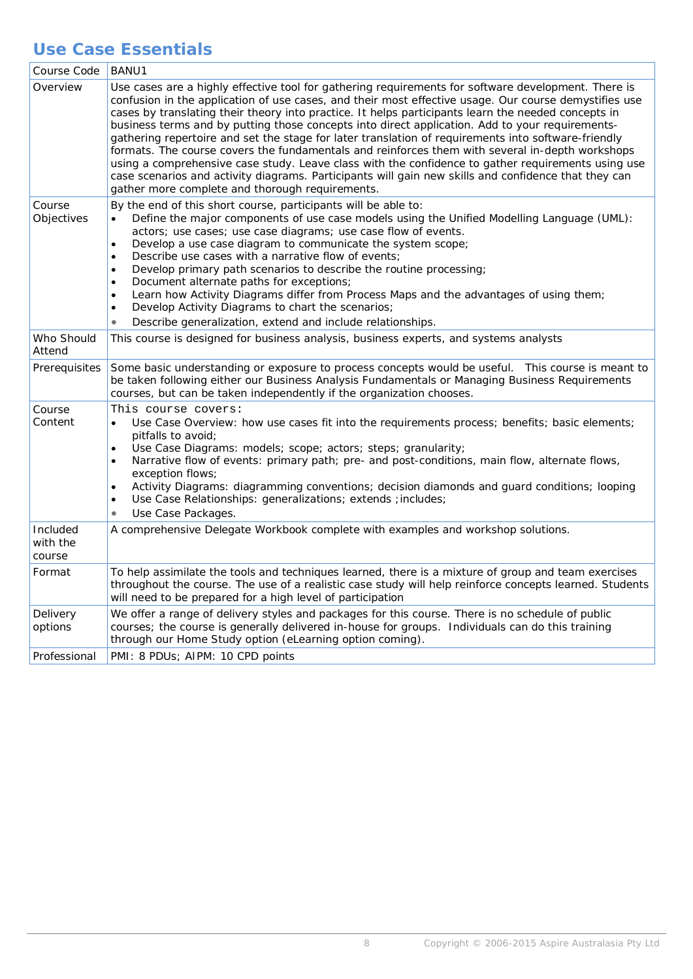### **Use Case Essentials**

| Course Code                    | BANU1                                                                                                                                                                                                                                                                                                                                                                                                                                                                                                                                                                                                                                                                                                                                                                                                                                                                                             |
|--------------------------------|---------------------------------------------------------------------------------------------------------------------------------------------------------------------------------------------------------------------------------------------------------------------------------------------------------------------------------------------------------------------------------------------------------------------------------------------------------------------------------------------------------------------------------------------------------------------------------------------------------------------------------------------------------------------------------------------------------------------------------------------------------------------------------------------------------------------------------------------------------------------------------------------------|
| Overview                       | Use cases are a highly effective tool for gathering requirements for software development. There is<br>confusion in the application of use cases, and their most effective usage. Our course demystifies use<br>cases by translating their theory into practice. It helps participants learn the needed concepts in<br>business terms and by putting those concepts into direct application. Add to your requirements-<br>gathering repertoire and set the stage for later translation of requirements into software-friendly<br>formats. The course covers the fundamentals and reinforces them with several in-depth workshops<br>using a comprehensive case study. Leave class with the confidence to gather requirements using use<br>case scenarios and activity diagrams. Participants will gain new skills and confidence that they can<br>gather more complete and thorough requirements. |
| Course<br>Objectives           | By the end of this short course, participants will be able to:<br>Define the major components of use case models using the Unified Modelling Language (UML):<br>$\bullet$<br>actors; use cases; use case diagrams; use case flow of events.<br>Develop a use case diagram to communicate the system scope;<br>$\bullet$<br>Describe use cases with a narrative flow of events;<br>$\bullet$<br>Develop primary path scenarios to describe the routine processing;<br>$\bullet$<br>Document alternate paths for exceptions;<br>$\bullet$<br>Learn how Activity Diagrams differ from Process Maps and the advantages of using them;<br>$\bullet$<br>Develop Activity Diagrams to chart the scenarios;<br>$\bullet$<br>Describe generalization, extend and include relationships.<br>$\bullet$                                                                                                       |
| Who Should<br>Attend           | This course is designed for business analysis, business experts, and systems analysts                                                                                                                                                                                                                                                                                                                                                                                                                                                                                                                                                                                                                                                                                                                                                                                                             |
| Prerequisites                  | Some basic understanding or exposure to process concepts would be useful.  This course is meant to<br>be taken following either our Business Analysis Fundamentals or Managing Business Requirements<br>courses, but can be taken independently if the organization chooses.                                                                                                                                                                                                                                                                                                                                                                                                                                                                                                                                                                                                                      |
| Course<br>Content              | This course covers:<br>Use Case Overview: how use cases fit into the requirements process; benefits; basic elements;<br>$\bullet$<br>pitfalls to avoid;<br>Use Case Diagrams: models; scope; actors; steps; granularity;<br>$\bullet$<br>Narrative flow of events: primary path; pre- and post-conditions, main flow, alternate flows,<br>$\bullet$<br>exception flows;<br>Activity Diagrams: diagramming conventions; decision diamonds and guard conditions; looping<br>$\bullet$<br>Use Case Relationships: generalizations; extends ; includes;<br>$\bullet$<br>Use Case Packages.                                                                                                                                                                                                                                                                                                            |
| Included<br>with the<br>course | A comprehensive Delegate Workbook complete with examples and workshop solutions.                                                                                                                                                                                                                                                                                                                                                                                                                                                                                                                                                                                                                                                                                                                                                                                                                  |
| Format                         | To help assimilate the tools and techniques learned, there is a mixture of group and team exercises<br>throughout the course. The use of a realistic case study will help reinforce concepts learned. Students<br>will need to be prepared for a high level of participation                                                                                                                                                                                                                                                                                                                                                                                                                                                                                                                                                                                                                      |
| Delivery<br>options            | We offer a range of delivery styles and packages for this course. There is no schedule of public<br>courses; the course is generally delivered in-house for groups. Individuals can do this training<br>through our Home Study option (eLearning option coming).                                                                                                                                                                                                                                                                                                                                                                                                                                                                                                                                                                                                                                  |
| Professional                   | PMI: 8 PDUs; AIPM: 10 CPD points                                                                                                                                                                                                                                                                                                                                                                                                                                                                                                                                                                                                                                                                                                                                                                                                                                                                  |